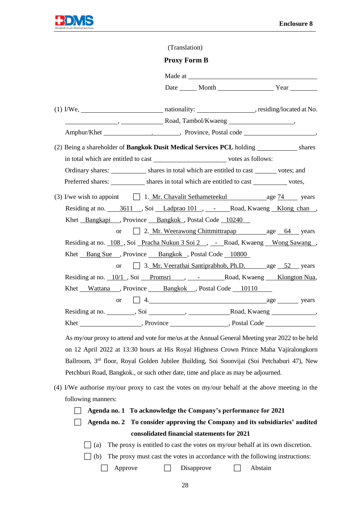

|                                                                                     | (Translation)                                        |  |
|-------------------------------------------------------------------------------------|------------------------------------------------------|--|
|                                                                                     | <b>Proxy Form B</b>                                  |  |
|                                                                                     |                                                      |  |
|                                                                                     |                                                      |  |
|                                                                                     |                                                      |  |
| $\frac{1}{1000}$ , $\frac{1}{1000}$ Road, Tambol/Kwaeng $\frac{1}{1000}$            |                                                      |  |
|                                                                                     |                                                      |  |
| (2) Being a shareholder of <b>Bangkok Dusit Medical Services PCL</b> holding shares |                                                      |  |
| in total which are entitled to cast votes as follows:                               |                                                      |  |
| Ordinary shares: shares in total which are entitled to cast votes; and              |                                                      |  |
| Preferred shares: shares in total which are entitled to cast votes,                 |                                                      |  |
| (3) I/we wish to appoint $\Box$ 1. Mr. Chavalit Sethameteekul age $74$ years        |                                                      |  |
| Residing at no. 3611, Soi Ladprao 101, - Road, Kwaeng Klong chan,                   |                                                      |  |
| Khet Bangkapi, Province Bangkok, Postal Code 10240                                  |                                                      |  |
|                                                                                     | or 2. Mr. Weerawong Chittmittrapap age 64 years      |  |
| Residing at no. 108, Soi Pracha Nukun 3 Soi 2, - Road, Kwaeng Wong Sawang,          |                                                      |  |
| Khet Bang Sue , Province Bangkok, Postal Code 10800                                 |                                                      |  |
|                                                                                     | or 3. Mr. Veerathai Santiprabhob, Ph.D. age 52 years |  |
| Residing at no. 10/1, Soi Promsri , - Road, Kwaeng Klongton Nua,                    |                                                      |  |
| Khet Wattana , Province Bangkok , Postal Code 10110                                 |                                                      |  |
| <b>or</b>                                                                           | $\Box$ 4. $\Box$ 4.                                  |  |
|                                                                                     |                                                      |  |
| Province Research Code Research Postal Code<br>Khet                                 |                                                      |  |

As my/our proxy to attend and vote for me/us at the Annual General Meeting year 2022 to be held on 12 April 2022 at 13:30 hours at His Royal Highness Crown Prince Maha Vajiralongkorn Ballroom, 3rd floor, Royal Golden Jubilee Building, Soi Soonvijai (Soi Petchaburi 47), New Petchburi Road, Bangkok., or such other date, time and place as may be adjourned.

- (4) I/We authorise my/our proxy to cast the votes on my/our behalf at the above meeting in the following manners:
	- **Agenda no. 1 To acknowledge the Company's performance for 2021**

 **Agenda no. 2 To consider approving the Company and its subsidiaries' audited consolidated financial statements for 2021**

- $\Box$  (a) The proxy is entitled to cast the votes on my/our behalf at its own discretion.
- $\Box$  (b) The proxy must cast the votes in accordance with the following instructions:

 $\Box$  Approve  $\Box$  Disapprove  $\Box$  Abstain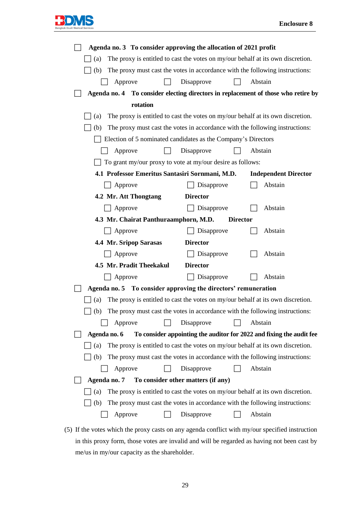

| Agenda no. 3 To consider approving the allocation of 2021 profit                       |  |  |  |  |  |  |  |  |
|----------------------------------------------------------------------------------------|--|--|--|--|--|--|--|--|
| The proxy is entitled to cast the votes on my/our behalf at its own discretion.<br>(a) |  |  |  |  |  |  |  |  |
| The proxy must cast the votes in accordance with the following instructions:<br>(b)    |  |  |  |  |  |  |  |  |
| Abstain<br>Disapprove<br>Approve                                                       |  |  |  |  |  |  |  |  |
| Agenda no. 4 To consider electing directors in replacement of those who retire by      |  |  |  |  |  |  |  |  |
| rotation                                                                               |  |  |  |  |  |  |  |  |
| The proxy is entitled to cast the votes on my/our behalf at its own discretion.<br>(a) |  |  |  |  |  |  |  |  |
| The proxy must cast the votes in accordance with the following instructions:<br>(b)    |  |  |  |  |  |  |  |  |
| Election of 5 nominated candidates as the Company's Directors                          |  |  |  |  |  |  |  |  |
| Disapprove<br>Abstain<br>Approve                                                       |  |  |  |  |  |  |  |  |
| To grant my/our proxy to vote at my/our desire as follows:                             |  |  |  |  |  |  |  |  |
| 4.1 Professor Emeritus Santasiri Sornmani, M.D.<br><b>Independent Director</b>         |  |  |  |  |  |  |  |  |
| Approve<br>Abstain<br>Disapprove                                                       |  |  |  |  |  |  |  |  |
| 4.2 Mr. Att Thongtang<br><b>Director</b>                                               |  |  |  |  |  |  |  |  |
| Abstain<br>Approve<br>Disapprove                                                       |  |  |  |  |  |  |  |  |
| 4.3 Mr. Chairat Panthuraamphorn, M.D.<br><b>Director</b>                               |  |  |  |  |  |  |  |  |
| Abstain<br>Approve<br>Disapprove                                                       |  |  |  |  |  |  |  |  |
| 4.4 Mr. Sripop Sarasas<br><b>Director</b>                                              |  |  |  |  |  |  |  |  |
| Abstain<br>Approve<br>Disapprove                                                       |  |  |  |  |  |  |  |  |
| 4.5 Mr. Pradit Theekakul<br><b>Director</b>                                            |  |  |  |  |  |  |  |  |
| Abstain<br>Approve<br>Disapprove                                                       |  |  |  |  |  |  |  |  |
| Agenda no. 5 To consider approving the directors' remuneration                         |  |  |  |  |  |  |  |  |
| The proxy is entitled to cast the votes on my/our behalf at its own discretion.<br>(a) |  |  |  |  |  |  |  |  |
| The proxy must cast the votes in accordance with the following instructions:<br>(b)    |  |  |  |  |  |  |  |  |
| Disapprove<br>Abstain<br>Approve                                                       |  |  |  |  |  |  |  |  |
| To consider appointing the auditor for 2022 and fixing the audit fee<br>Agenda no. 6   |  |  |  |  |  |  |  |  |
| The proxy is entitled to cast the votes on my/our behalf at its own discretion.<br>(a) |  |  |  |  |  |  |  |  |
| The proxy must cast the votes in accordance with the following instructions:<br>(b)    |  |  |  |  |  |  |  |  |
| Disapprove<br>Abstain<br>Approve                                                       |  |  |  |  |  |  |  |  |
| To consider other matters (if any)<br>Agenda no. 7                                     |  |  |  |  |  |  |  |  |
| The proxy is entitled to cast the votes on my/our behalf at its own discretion.<br>(a) |  |  |  |  |  |  |  |  |
| The proxy must cast the votes in accordance with the following instructions:<br>(b)    |  |  |  |  |  |  |  |  |
| Abstain<br>Approve<br>Disapprove                                                       |  |  |  |  |  |  |  |  |

(5) If the votes which the proxy casts on any agenda conflict with my/our specified instruction in this proxy form, those votes are invalid and will be regarded as having not been cast by me/us in my/our capacity as the shareholder.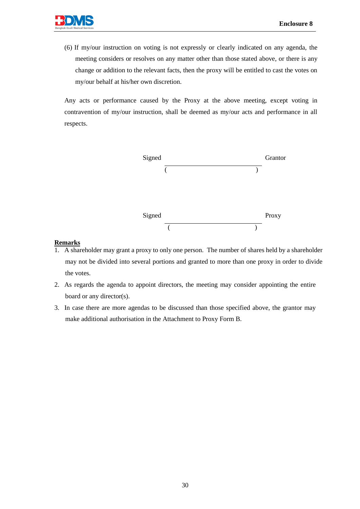(6) If my/our instruction on voting is not expressly or clearly indicated on any agenda, the meeting considers or resolves on any matter other than those stated above, or there is any change or addition to the relevant facts, then the proxy will be entitled to cast the votes on my/our behalf at his/her own discretion.

Any acts or performance caused by the Proxy at the above meeting, except voting in contravention of my/our instruction, shall be deemed as my/our acts and performance in all respects.



## **Remarks**

- 1. A shareholder may grant a proxy to only one person. The number of shares held by a shareholder may not be divided into several portions and granted to more than one proxy in order to divide the votes.
- 2. As regards the agenda to appoint directors, the meeting may consider appointing the entire board or any director(s).
- 3. In case there are more agendas to be discussed than those specified above, the grantor may make additional authorisation in the Attachment to Proxy Form B.